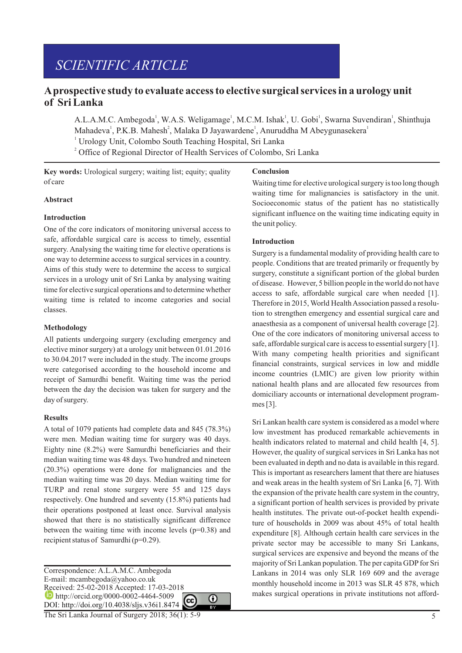# *SCIENTIFIC ARTICLE*

## **Aprospective study to evaluate access to elective surgical services in a urology unit of Sri Lanka**

A.L.A.M.C. Ambegoda<sup>1</sup>, W.A.S. Weligamage<sup>1</sup>, M.C.M. Ishak<sup>1</sup>, U. Gobi<sup>1</sup>, Swarna Suvendiran<sup>1</sup>, Shinthuja Mahadeva<sup>1</sup>, P.K.B. Mahesh<sup>2</sup>, Malaka D Jayawardene<sup>1</sup>, Anuruddha M Abeygunasekera<sup>1</sup>

<sup>1</sup> Urology Unit, Colombo South Teaching Hospital, Sri Lanka

<sup>2</sup> Office of Regional Director of Health Services of Colombo, Sri Lanka

**Key words:** Urological surgery; waiting list; equity; quality of care

#### **Abstract**

#### **Introduction**

One of the core indicators of monitoring universal access to safe, affordable surgical care is access to timely, essential surgery. Analysing the waiting time for elective operations is one way to determine access to surgical services in a country. Aims of this study were to determine the access to surgical services in a urology unit of Sri Lanka by analysing waiting time for elective surgical operations and to determine whether waiting time is related to income categories and social classes.

#### **Methodology**

All patients undergoing surgery (excluding emergency and elective minor surgery) at a urology unit between 01.01.2016 to 30.04.2017 were included in the study. The income groups were categorised according to the household income and receipt of Samurdhi benefit. Waiting time was the period between the day the decision was taken for surgery and the day of surgery.

#### **Results**

A total of 1079 patients had complete data and 845 (78.3%) were men. Median waiting time for surgery was 40 days. Eighty nine (8.2%) were Samurdhi beneficiaries and their median waiting time was 48 days. Two hundred and nineteen (20.3%) operations were done for malignancies and the median waiting time was 20 days. Median waiting time for TURP and renal stone surgery were 55 and 125 days respectively. One hundred and seventy (15.8%) patients had their operations postponed at least once. Survival analysis showed that there is no statistically significant difference between the waiting time with income levels  $(p=0.38)$  and recipient status of Samurdhi (p=0.29).

Correspondence: A.L.A.M.C. Ambegoda E-mail: mcambegoda@yahoo.co.uk Received: 25-02-2018 Accepted: 17-03-2018 **http://orcid.org/0000-0002-4464-5009** ⋒ DOI: http://doi.org/10.4038/sljs.v36i1.8474

The Sri Lanka Journal of Surgery 2018; 36(1): 5-9

#### **Conclusion**

Waiting time for elective urological surgery is too long though waiting time for malignancies is satisfactory in the unit. Socioeconomic status of the patient has no statistically significant influence on the waiting time indicating equity in the unit policy.

#### **Introduction**

Surgery is a fundamental modality of providing health care to people. Conditions that are treated primarily or frequently by surgery, constitute a significant portion of the global burden of disease. However, 5 billion people in the world do not have access to safe, affordable surgical care when needed [1]. Therefore in 2015, World Health Association passed a resolution to strengthen emergency and essential surgical care and anaesthesia as a component of universal health coverage [2]. One of the core indicators of monitoring universal access to safe, affordable surgical care is access to essential surgery [1]. With many competing health priorities and significant financial constraints, surgical services in low and middle income countries (LMIC) are given low priority within national health plans and are allocated few resources from domiciliary accounts or international development programmes [3].

Sri Lankan health care system is considered as a model where low investment has produced remarkable achievements in health indicators related to maternal and child health [4, 5]. However, the quality of surgical services in Sri Lanka has not been evaluated in depth and no data is available in this regard. This is important as researchers lament that there are hiatuses and weak areas in the health system of Sri Lanka [6, 7]. With the expansion of the private health care system in the country, a significant portion of health services is provided by private health institutes. The private out-of-pocket health expenditure of households in 2009 was about 45% of total health expenditure [8]. Although certain health care services in the private sector may be accessible to many Sri Lankans, surgical services are expensive and beyond the means of the majority of Sri Lankan population. The per capita GDP for Sri Lankans in 2014 was only SLR 169 609 and the average monthly household income in 2013 was SLR 45 878, which makes surgical operations in private institutions not afford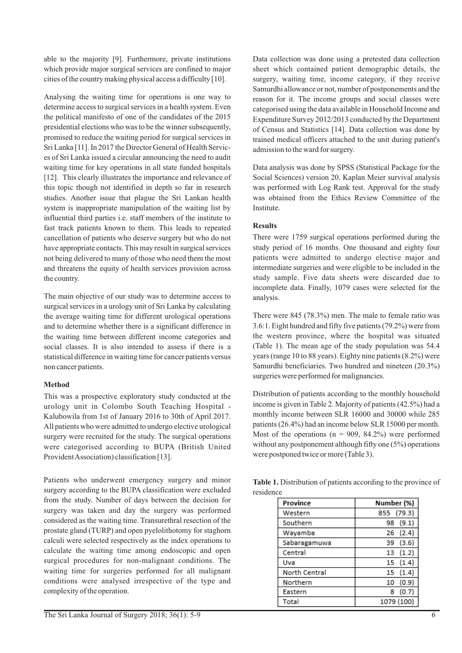able to the majority [9]. Furthermore, private institutions which provide major surgical services are confined to major cities of the country making physical access a difficulty [10].

Analysing the waiting time for operations is one way to determine access to surgical services in a health system. Even the political manifesto of one of the candidates of the 2015 presidential elections who was to be the winner subsequently, promised to reduce the waiting period for surgical services in Sri Lanka [11]. In 2017 the Director General of Health Services of Sri Lanka issued a circular announcing the need to audit waiting time for key operations in all state funded hospitals [12]. This clearly illustrates the importance and relevance of this topic though not identified in depth so far in research studies. Another issue that plague the Sri Lankan health system is inappropriate manipulation of the waiting list by influential third parties i.e. staff members of the institute to fast track patients known to them. This leads to repeated cancellation of patients who deserve surgery but who do not have appropriate contacts. This may result in surgical services not being delivered to many of those who need them the most and threatens the equity of health services provision across the country.

The main objective of our study was to determine access to surgical services in a urology unit of Sri Lanka by calculating the average waiting time for different urological operations and to determine whether there is a significant difference in the waiting time between different income categories and social classes. It is also intended to assess if there is a statistical difference in waiting time for cancer patients versus non cancer patients.

## **Method**

This was a prospective exploratory study conducted at the urology unit in Colombo South Teaching Hospital - Kalubowila from 1st of January 2016 to 30th of April 2017. All patients who were admitted to undergo elective urological surgery were recruited for the study. The surgical operations were categorised according to BUPA (British United Provident Association) classification [13].

Patients who underwent emergency surgery and minor surgery according to the BUPA classification were excluded from the study. Number of days between the decision for surgery was taken and day the surgery was performed considered as the waiting time. Transurethral resection of the prostate gland (TURP) and open pyelolithotomy for staghorn calculi were selected respectively as the index operations to calculate the waiting time among endoscopic and open surgical procedures for non-malignant conditions. The waiting time for surgeries performed for all malignant conditions were analysed irrespective of the type and complexity of the operation.

Data collection was done using a pretested data collection sheet which contained patient demographic details, the surgery, waiting time, income category, if they receive Samurdhi allowance or not, number of postponements and the reason for it. The income groups and social classes were categorised using the data available in Household Income and Expenditure Survey 2012/2013 conducted by the Department of Census and Statistics [14]. Data collection was done by trained medical officers attached to the unit during patient's admission to the ward for surgery.

Data analysis was done by SPSS (Statistical Package for the Social Sciences) version 20. Kaplan Meier survival analysis was performed with Log Rank test. Approval for the study was obtained from the Ethics Review Committee of the Institute.

## **Results**

There were 1759 surgical operations performed during the study period of 16 months. One thousand and eighty four patients were admitted to undergo elective major and intermediate surgeries and were eligible to be included in the study sample. Five data sheets were discarded due to incomplete data. Finally, 1079 cases were selected for the analysis.

There were 845 (78.3%) men. The male to female ratio was 3.6:1. Eight hundred and fifty five patients (79.2%) were from the western province, where the hospital was situated (Table 1). The mean age of the study population was 54.4 years (range 10 to 88 years). Eighty nine patients (8.2%) were Samurdhi beneficiaries. Two hundred and nineteen (20.3%) surgeries were performed for malignancies.

Distribution of patients according to the monthly household income is given in Table 2. Majority of patients (42.5%) had a monthly income between SLR 16000 and 30000 while 285 patients (26.4%) had an income below SLR 15000 per month. Most of the operations ( $n = 909, 84.2\%$ ) were performed without any postponement although fifty one (5%) operations were postponed twice or more (Table 3).

**Table 1.** Distribution of patients according to the province of residence

| Province      | Number (%)  |
|---------------|-------------|
| Western       | 855 (79.3)  |
| Southern      | 98 (9.1)    |
| Wayamba       | 26(2.4)     |
| Sabaragamuwa  | (3.6)<br>39 |
| Central       | (1.2)<br>13 |
| Uva           | 15(1.4)     |
| North Central | 15(1.4)     |
| Northern      | (0.9)<br>10 |
| Eastern       | (0.7)<br>8  |
| Total         | 1079 (100)  |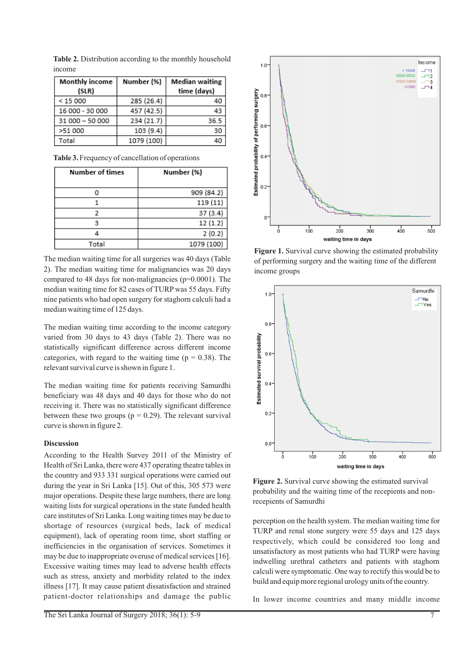| Monthly income<br>(SLR) | Number (%) | <b>Median waiting</b><br>time (days) |
|-------------------------|------------|--------------------------------------|
| < 15000                 | 285 (26.4) | 40                                   |
| 16 000 - 30 000         | 457 (42.5) | 43                                   |
| 31 000 - 50 000         | 234 (21.7) | 36.5                                 |
| >51 000                 | 103 (9.4)  | 30                                   |
| Total                   | 1079 (100) | 40                                   |

**Table 2.** Distribution according to the monthly household income

**Table 3.**Frequency of cancellation of operations

| Number of times | Number (%) |
|-----------------|------------|
| n               | 909 (84.2) |
|                 | 119 (11)   |
|                 | 37(3.4)    |
| 3               | 12(1.2)    |
|                 | 2(0.2)     |
| Total           | 1079 (100) |

The median waiting time for all surgeries was 40 days (Table 2). The median waiting time for malignancies was 20 days compared to 48 days for non-malignancies (p=0.0001). The median waiting time for 82 cases of TURP was 55 days. Fifty nine patients who had open surgery for staghorn calculi had a median waiting time of 125 days.

The median waiting time according to the income category varied from 30 days to 43 days (Table 2). There was no statistically significant difference across different income categories, with regard to the waiting time ( $p = 0.38$ ). The relevant survival curve is shown in figure 1.

The median waiting time for patients receiving Samurdhi beneficiary was 48 days and 40 days for those who do not receiving it. There was no statistically significant difference between these two groups ( $p = 0.29$ ). The relevant survival curve is shown in figure 2.

## **Discussion**

According to the Health Survey 2011 of the Ministry of Health of Sri Lanka, there were 437 operating theatre tables in the country and 933 331 surgical operations were carried out during the year in Sri Lanka [15]. Out of this, 305 573 were major operations. Despite these large numbers, there are long waiting lists for surgical operations in the state funded health care institutes of Sri Lanka. Long waiting times may be due to shortage of resources (surgical beds, lack of medical equipment), lack of operating room time, short staffing or inefficiencies in the organisation of services. Sometimes it may be due to inappropriate overuse of medical services [16]. Excessive waiting times may lead to adverse health effects such as stress, anxiety and morbidity related to the index illness [17]. It may cause patient dissatisfaction and strained patient-doctor relationships and damage the public



**Figure 1.** Survival curve showing the estimated probability of performing surgery and the waiting time of the different income groups



**Figure 2.** Survival curve showing the estimated survival probability and the waiting time of the recepients and nonrecepients of Samurdhi

perception on the health system. The median waiting time for TURP and renal stone surgery were 55 days and 125 days respectively, which could be considered too long and unsatisfactory as most patients who had TURP were having indwelling urethral catheters and patients with staghorn calculi were symptomatic. One way to rectify this would be to build and equip more regional urology units of the country.

In lower income countries and many middle income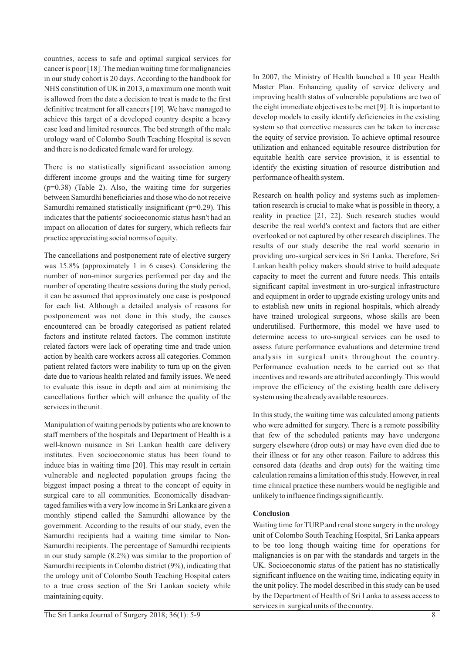countries, access to safe and optimal surgical services for cancer is poor [18]. The median waiting time for malignancies in our study cohort is 20 days. According to the handbook for NHS constitution of UK in 2013, a maximum one month wait is allowed from the date a decision to treat is made to the first definitive treatment for all cancers [19]. We have managed to achieve this target of a developed country despite a heavy case load and limited resources. The bed strength of the male urology ward of Colombo South Teaching Hospital is seven and there is no dedicated female ward for urology.

There is no statistically significant association among different income groups and the waiting time for surgery (p=0.38) (Table 2). Also, the waiting time for surgeries between Samurdhi beneficiaries and those who do not receive Samurdhi remained statistically insignificant (p=0.29). This indicates that the patients' socioeconomic status hasn't had an impact on allocation of dates for surgery, which reflects fair practice appreciating social norms of equity.

The cancellations and postponement rate of elective surgery was 15.8% (approximately 1 in 6 cases). Considering the number of non-minor surgeries performed per day and the number of operating theatre sessions during the study period, it can be assumed that approximately one case is postponed for each list. Although a detailed analysis of reasons for postponement was not done in this study, the causes encountered can be broadly categorised as patient related factors and institute related factors. The common institute related factors were lack of operating time and trade union action by health care workers across all categories. Common patient related factors were inability to turn up on the given date due to various health related and family issues. We need to evaluate this issue in depth and aim at minimising the cancellations further which will enhance the quality of the services in the unit.

Manipulation of waiting periods by patients who are known to staff members of the hospitals and Department of Health is a well-known nuisance in Sri Lankan health care delivery institutes. Even socioeconomic status has been found to induce bias in waiting time [20]. This may result in certain vulnerable and neglected population groups facing the biggest impact posing a threat to the concept of equity in surgical care to all communities. Economically disadvantaged families with a very low income in Sri Lanka are given a monthly stipend called the Samurdhi allowance by the government. According to the results of our study, even the Samurdhi recipients had a waiting time similar to Non-Samurdhi recipients. The percentage of Samurdhi recipients in our study sample (8.2%) was similar to the proportion of Samurdhi recipients in Colombo district (9%), indicating that the urology unit of Colombo South Teaching Hospital caters to a true cross section of the Sri Lankan society while maintaining equity.

In 2007, the Ministry of Health launched a 10 year Health Master Plan. Enhancing quality of service delivery and improving health status of vulnerable populations are two of the eight immediate objectives to be met [9]. It is important to develop models to easily identify deficiencies in the existing system so that corrective measures can be taken to increase the equity of service provision. To achieve optimal resource utilization and enhanced equitable resource distribution for equitable health care service provision, it is essential to identify the existing situation of resource distribution and performance of health system.

Research on health policy and systems such as implementation research is crucial to make what is possible in theory, a reality in practice [21, 22]. Such research studies would describe the real world's context and factors that are either overlooked or not captured by other research disciplines. The results of our study describe the real world scenario in providing uro-surgical services in Sri Lanka. Therefore, Sri Lankan health policy makers should strive to build adequate capacity to meet the current and future needs. This entails significant capital investment in uro-surgical infrastructure and equipment in order to upgrade existing urology units and to establish new units in regional hospitals, which already have trained urological surgeons, whose skills are been underutilised. Furthermore, this model we have used to determine access to uro-surgical services can be used to assess future performance evaluations and determine trend analysis in surgical units throughout the country. Performance evaluation needs to be carried out so that incentives and rewards are attributed accordingly. This would improve the efficiency of the existing health care delivery system using the already available resources.

In this study, the waiting time was calculated among patients who were admitted for surgery. There is a remote possibility that few of the scheduled patients may have undergone surgery elsewhere (drop outs) or may have even died due to their illness or for any other reason. Failure to address this censored data (deaths and drop outs) for the waiting time calculation remains a limitation of this study. However, in real time clinical practice these numbers would be negligible and unlikely to influence findings significantly.

## **Conclusion**

Waiting time for TURP and renal stone surgery in the urology unit of Colombo South Teaching Hospital, Sri Lanka appears to be too long though waiting time for operations for malignancies is on par with the standards and targets in the UK. Socioeconomic status of the patient has no statistically significant influence on the waiting time, indicating equity in the unit policy. The model described in this study can be used by the Department of Health of Sri Lanka to assess access to services in surgical units of the country.